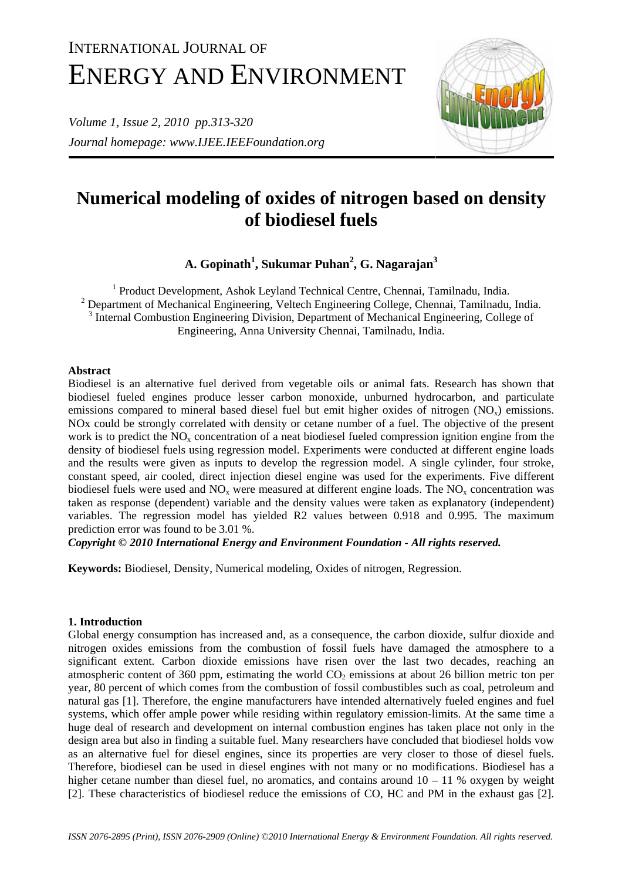# INTERNATIONAL JOURNAL OF ENERGY AND ENVIRONMENT

*Volume 1, Issue 2, 2010 pp.313-320 Journal homepage: www.IJEE.IEEFoundation.org* 



# **Numerical modeling of oxides of nitrogen based on density of biodiesel fuels**

**A. Gopinath1 , Sukumar Puhan2 , G. Nagarajan3**

<sup>1</sup> Product Development, Ashok Leyland Technical Centre, Chennai, Tamilnadu, India.  $2$  Department of Mechanical Engineering, Veltech Engineering College, Chennai, Tamilnadu, India. <sup>3</sup> Internal Combustion Engineering Division, Department of Mechanical Engineering, College of Engineering, Anna University Chennai, Tamilnadu, India.

# **Abstract**

Biodiesel is an alternative fuel derived from vegetable oils or animal fats. Research has shown that biodiesel fueled engines produce lesser carbon monoxide, unburned hydrocarbon, and particulate emissions compared to mineral based diesel fuel but emit higher oxides of nitrogen  $(NO<sub>x</sub>)$  emissions. NOx could be strongly correlated with density or cetane number of a fuel. The objective of the present work is to predict the  $NO<sub>x</sub>$  concentration of a neat biodiesel fueled compression ignition engine from the density of biodiesel fuels using regression model. Experiments were conducted at different engine loads and the results were given as inputs to develop the regression model. A single cylinder, four stroke, constant speed, air cooled, direct injection diesel engine was used for the experiments. Five different biodiesel fuels were used and  $NO<sub>x</sub>$  were measured at different engine loads. The  $NO<sub>x</sub>$  concentration was taken as response (dependent) variable and the density values were taken as explanatory (independent) variables. The regression model has yielded R2 values between 0.918 and 0.995. The maximum prediction error was found to be 3.01 %.

*Copyright © 2010 International Energy and Environment Foundation - All rights reserved.*

**Keywords:** Biodiesel, Density, Numerical modeling, Oxides of nitrogen, Regression.

# **1. Introduction**

Global energy consumption has increased and, as a consequence, the carbon dioxide, sulfur dioxide and nitrogen oxides emissions from the combustion of fossil fuels have damaged the atmosphere to a significant extent. Carbon dioxide emissions have risen over the last two decades, reaching an atmospheric content of 360 ppm, estimating the world  $CO<sub>2</sub>$  emissions at about 26 billion metric ton per year, 80 percent of which comes from the combustion of fossil combustibles such as coal, petroleum and natural gas [1]. Therefore, the engine manufacturers have intended alternatively fueled engines and fuel systems, which offer ample power while residing within regulatory emission-limits. At the same time a huge deal of research and development on internal combustion engines has taken place not only in the design area but also in finding a suitable fuel. Many researchers have concluded that biodiesel holds vow as an alternative fuel for diesel engines, since its properties are very closer to those of diesel fuels. Therefore, biodiesel can be used in diesel engines with not many or no modifications. Biodiesel has a higher cetane number than diesel fuel, no aromatics, and contains around  $10 - 11$  % oxygen by weight [2]. These characteristics of biodiesel reduce the emissions of CO, HC and PM in the exhaust gas [2].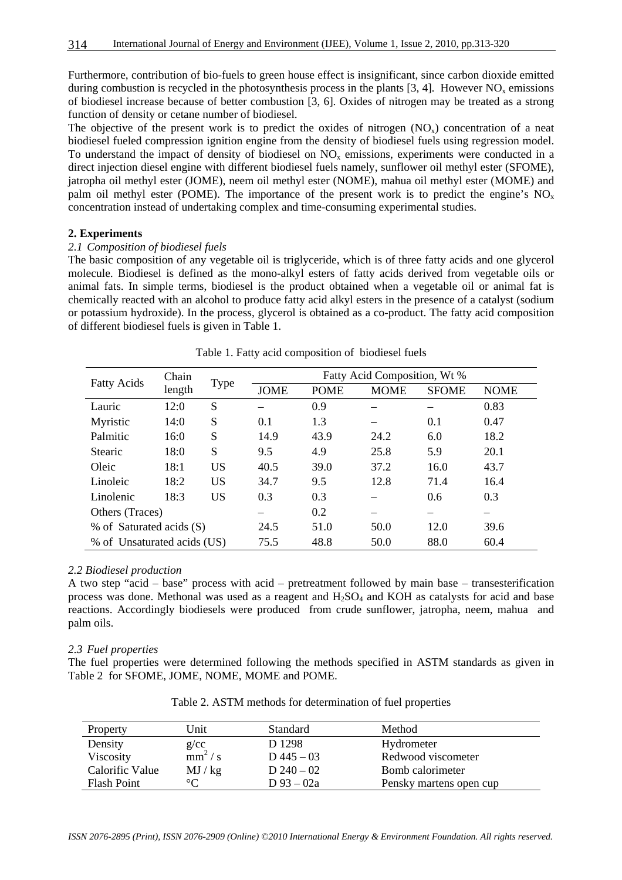Furthermore, contribution of bio-fuels to green house effect is insignificant, since carbon dioxide emitted during combustion is recycled in the photosynthesis process in the plants  $[3, 4]$ . However NO<sub>x</sub> emissions of biodiesel increase because of better combustion [3, 6]. Oxides of nitrogen may be treated as a strong function of density or cetane number of biodiesel.

The objective of the present work is to predict the oxides of nitrogen  $(NO_x)$  concentration of a neat biodiesel fueled compression ignition engine from the density of biodiesel fuels using regression model. To understand the impact of density of biodiesel on  $NO<sub>x</sub>$  emissions, experiments were conducted in a direct injection diesel engine with different biodiesel fuels namely, sunflower oil methyl ester (SFOME), jatropha oil methyl ester (JOME), neem oil methyl ester (NOME), mahua oil methyl ester (MOME) and palm oil methyl ester (POME). The importance of the present work is to predict the engine's  $NO<sub>x</sub>$ concentration instead of undertaking complex and time-consuming experimental studies.

#### **2. Experiments**

# *2.1 Composition of biodiesel fuels*

The basic composition of any vegetable oil is triglyceride, which is of three fatty acids and one glycerol molecule. Biodiesel is defined as the mono-alkyl esters of fatty acids derived from vegetable oils or animal fats. In simple terms, biodiesel is the product obtained when a vegetable oil or animal fat is chemically reacted with an alcohol to produce fatty acid alkyl esters in the presence of a catalyst (sodium or potassium hydroxide). In the process, glycerol is obtained as a co-product. The fatty acid composition of different biodiesel fuels is given in Table 1.

| <b>Fatty Acids</b>          | Chain  |           | Fatty Acid Composition, Wt % |             |             |              |             |  |
|-----------------------------|--------|-----------|------------------------------|-------------|-------------|--------------|-------------|--|
|                             | length | Type      | <b>JOME</b>                  | <b>POME</b> | <b>MOME</b> | <b>SFOME</b> | <b>NOME</b> |  |
| Lauric                      | 12:0   | S         |                              | 0.9         |             |              | 0.83        |  |
| Myristic                    | 14:0   | S         | 0.1                          | 1.3         |             | 0.1          | 0.47        |  |
| Palmitic                    | 16:0   | S         | 14.9                         | 43.9        | 24.2        | 6.0          | 18.2        |  |
| <b>Stearic</b>              | 18:0   | S         | 9.5                          | 4.9         | 25.8        | 5.9          | 20.1        |  |
| Oleic                       | 18:1   | <b>US</b> | 40.5                         | 39.0        | 37.2        | 16.0         | 43.7        |  |
| Linoleic                    | 18:2   | <b>US</b> | 34.7                         | 9.5         | 12.8        | 71.4         | 16.4        |  |
| Linolenic                   | 18:3   | <b>US</b> | 0.3                          | 0.3         |             | 0.6          | 0.3         |  |
| Others (Traces)             |        |           |                              | 0.2         |             |              |             |  |
| % of Saturated acids (S)    |        |           | 24.5                         | 51.0        | 50.0        | 12.0         | 39.6        |  |
| % of Unsaturated acids (US) |        |           | 75.5                         | 48.8        | 50.0        | 88.0         | 60.4        |  |

|  |  |  |  |  |  | Table 1. Fatty acid composition of biodiesel fuels |
|--|--|--|--|--|--|----------------------------------------------------|
|--|--|--|--|--|--|----------------------------------------------------|

#### *2.2 Biodiesel production*

A two step "acid – base" process with acid – pretreatment followed by main base – transesterification process was done. Methonal was used as a reagent and  $H<sub>2</sub>SO<sub>4</sub>$  and KOH as catalysts for acid and base reactions. Accordingly biodiesels were produced from crude sunflower, jatropha, neem, mahua and palm oils.

#### *2.3 Fuel properties*

The fuel properties were determined following the methods specified in ASTM standards as given in Table 2 for SFOME, JOME, NOME, MOME and POME.

| Property           | Unit            | <b>Standard</b> | Method                  |
|--------------------|-----------------|-----------------|-------------------------|
| Density            | g/cc            | D 1298          | Hydrometer              |
| Viscosity          | $mm^2/s$        | D $445 - 03$    | Redwood viscometer      |
| Calorific Value    | MJ / kg         | D $240 - 02$    | Bomb calorimeter        |
| <b>Flash Point</b> | $\rm ^{\circ}C$ | D 93 – 02a      | Pensky martens open cup |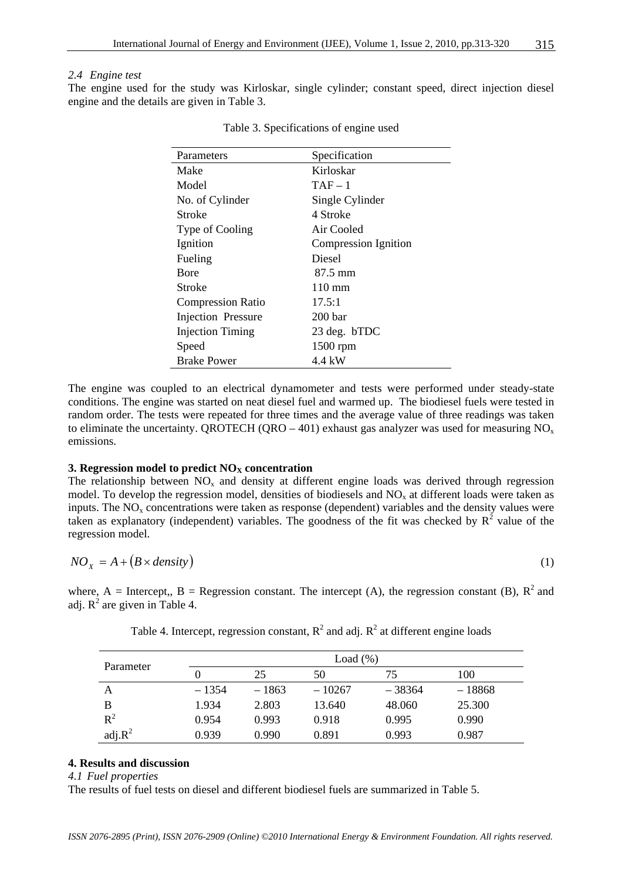#### *2.4 Engine test*

The engine used for the study was Kirloskar, single cylinder; constant speed, direct injection diesel engine and the details are given in Table 3.

| Parameters                | Specification               |
|---------------------------|-----------------------------|
| Make                      | Kirloskar                   |
| Model                     | $TAF-1$                     |
| No. of Cylinder           | Single Cylinder             |
| Stroke                    | 4 Stroke                    |
| Type of Cooling           | Air Cooled                  |
| Ignition                  | <b>Compression Ignition</b> |
| Fueling                   | Diesel                      |
| <b>B</b> ore              | 87.5 mm                     |
| Stroke                    | $110 \text{ mm}$            |
| <b>Compression Ratio</b>  | 17.5:1                      |
| <b>Injection Pressure</b> | 200 <sub>bar</sub>          |
| <b>Injection Timing</b>   | 23 deg. bTDC                |
| Speed                     | 1500 rpm                    |
| <b>Brake Power</b>        | 4.4 kW                      |

Table 3. Specifications of engine used

The engine was coupled to an electrical dynamometer and tests were performed under steady-state conditions. The engine was started on neat diesel fuel and warmed up. The biodiesel fuels were tested in random order. The tests were repeated for three times and the average value of three readings was taken to eliminate the uncertainty. QROTECH (QRO – 401) exhaust gas analyzer was used for measuring  $NO<sub>x</sub>$ emissions.

#### **3. Regression model to predict**  $NO<sub>X</sub>$  **concentration**

The relationship between  $NO<sub>x</sub>$  and density at different engine loads was derived through regression model. To develop the regression model, densities of biodiesels and  $NO<sub>x</sub>$  at different loads were taken as inputs. The  $NO<sub>x</sub>$  concentrations were taken as response (dependent) variables and the density values were taken as explanatory (independent) variables. The goodness of the fit was checked by  $R^2$  value of the regression model.

$$
NO_x = A + (B \times density)
$$
 (1)

where, A = Intercept,, B = Regression constant. The intercept (A), the regression constant (B),  $R^2$  and adj.  $R^2$  are given in Table 4.

| Parameter |         |         | Load $(\%)$ |          |          |
|-----------|---------|---------|-------------|----------|----------|
|           |         | 25      | 50          | 75       | 100      |
| Α         | $-1354$ | $-1863$ | $-10267$    | $-38364$ | $-18868$ |
| В         | 1.934   | 2.803   | 13.640      | 48.060   | 25.300   |
| $R^2$     | 0.954   | 0.993   | 0.918       | 0.995    | 0.990    |
| $adj.R^2$ | 0.939   | 0.990   | 0.891       | 0.993    | 0.987    |

Table 4. Intercept, regression constant,  $R^2$  and adj.  $R^2$  at different engine loads

# **4. Results and discussion**

*4.1 Fuel properties* 

The results of fuel tests on diesel and different biodiesel fuels are summarized in Table 5.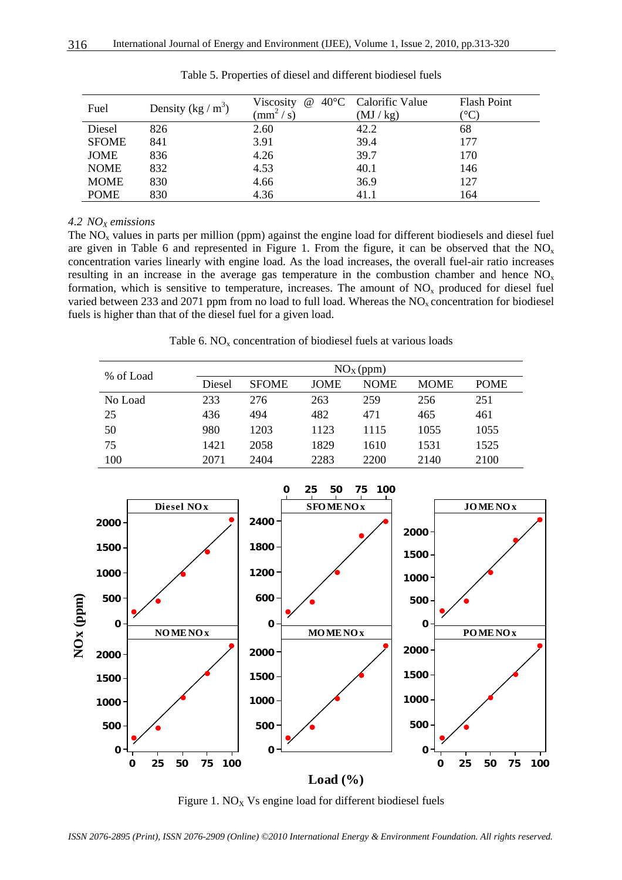| Fuel         | Density $(kg/m^3)$ | Viscosity<br>$\left(\text{mm}^2/\text{s}\right)$ | $@ 40°C$ Calorific Value<br>(MJ/kg) | <b>Flash Point</b><br>$^{\circ}$ C |
|--------------|--------------------|--------------------------------------------------|-------------------------------------|------------------------------------|
| Diesel       | 826                | 2.60                                             | 42.2                                | 68                                 |
| <b>SFOME</b> | 841                | 3.91                                             | 39.4                                | 177                                |
| JOME         | 836                | 4.26                                             | 39.7                                | 170                                |
| <b>NOME</b>  | 832                | 4.53                                             | 40.1                                | 146                                |
| <b>MOME</b>  | 830                | 4.66                                             | 36.9                                | 127                                |
| <b>POME</b>  | 830                | 4.36                                             | 41.1                                | 164                                |

Table 5. Properties of diesel and different biodiesel fuels

# *4.2 NOX emissions*

The  $NO<sub>x</sub>$  values in parts per million (ppm) against the engine load for different biodiesels and diesel fuel are given in Table 6 and represented in Figure 1. From the figure, it can be observed that the  $NO<sub>x</sub>$ concentration varies linearly with engine load. As the load increases, the overall fuel-air ratio increases resulting in an increase in the average gas temperature in the combustion chamber and hence  $NO<sub>x</sub>$ formation, which is sensitive to temperature, increases. The amount of  $NO<sub>x</sub>$  produced for diesel fuel varied between 233 and 2071 ppm from no load to full load. Whereas the  $NO<sub>x</sub>$  concentration for biodiesel fuels is higher than that of the diesel fuel for a given load.

Table 6.  $NO<sub>x</sub>$  concentration of biodiesel fuels at various loads

| % of Load | NO <sub>X</sub> (ppm) |              |             |             |             |             |  |
|-----------|-----------------------|--------------|-------------|-------------|-------------|-------------|--|
|           | Diesel                | <b>SFOME</b> | <b>JOME</b> | <b>NOME</b> | <b>MOME</b> | <b>POME</b> |  |
| No Load   | 233                   | 276          | 263         | 259         | 256         | 251         |  |
| 25        | 436                   | 494          | 482         | 471         | 465         | 461         |  |
| 50        | 980                   | 1203         | 1123        | 1115        | 1055        | 1055        |  |
| 75        | 1421                  | 2058         | 1829        | 1610        | 1531        | 1525        |  |
| 100       | 2071                  | 2404         | 2283        | 2200        | 2140        | 2100        |  |



Figure 1.  $NO<sub>X</sub>$  Vs engine load for different biodiesel fuels

*ISSN 2076-2895 (Print), ISSN 2076-2909 (Online) ©2010 International Energy & Environment Foundation. All rights reserved.*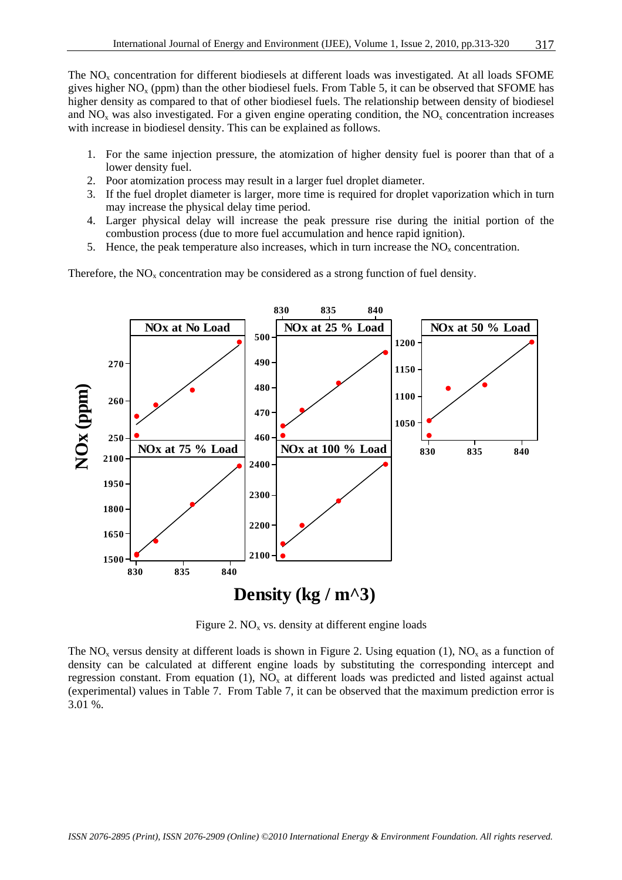The  $NO<sub>x</sub>$  concentration for different biodiesels at different loads was investigated. At all loads SFOME gives higher  $NO<sub>x</sub>$  (ppm) than the other biodiesel fuels. From Table 5, it can be observed that SFOME has higher density as compared to that of other biodiesel fuels. The relationship between density of biodiesel and  $NO<sub>x</sub>$  was also investigated. For a given engine operating condition, the  $NO<sub>x</sub>$  concentration increases with increase in biodiesel density. This can be explained as follows.

- 1. For the same injection pressure, the atomization of higher density fuel is poorer than that of a lower density fuel.
- 2. Poor atomization process may result in a larger fuel droplet diameter.
- 3. If the fuel droplet diameter is larger, more time is required for droplet vaporization which in turn may increase the physical delay time period.
- 4. Larger physical delay will increase the peak pressure rise during the initial portion of the combustion process (due to more fuel accumulation and hence rapid ignition).
- 5. Hence, the peak temperature also increases, which in turn increase the  $NO<sub>x</sub>$  concentration.

Therefore, the  $NO<sub>x</sub>$  concentration may be considered as a strong function of fuel density.



Figure 2.  $NO<sub>x</sub>$  vs. density at different engine loads

The NO<sub>x</sub> versus density at different loads is shown in Figure 2. Using equation (1), NO<sub>x</sub> as a function of density can be calculated at different engine loads by substituting the corresponding intercept and regression constant. From equation (1),  $NO<sub>x</sub>$  at different loads was predicted and listed against actual (experimental) values in Table 7. From Table 7, it can be observed that the maximum prediction error is 3.01 %.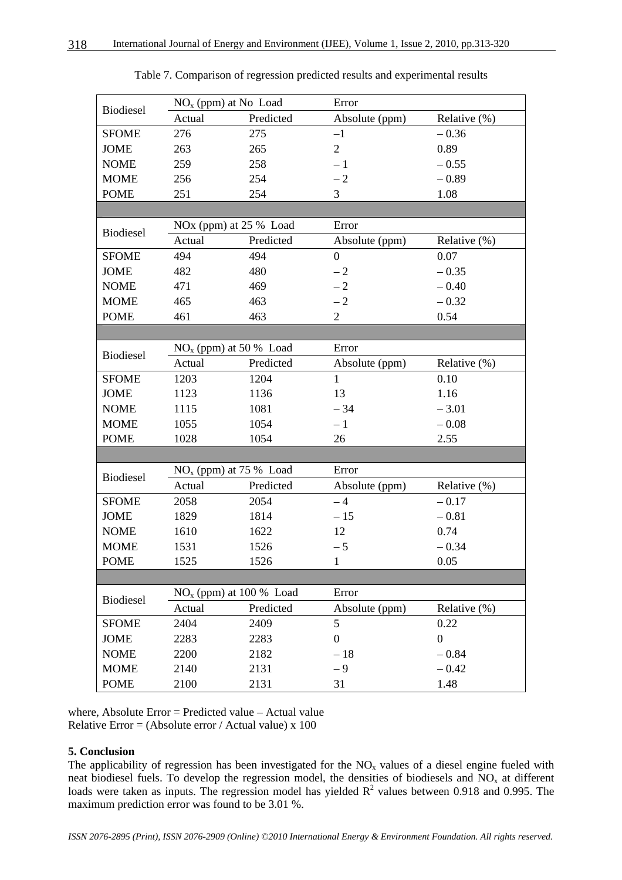| <b>Biodiesel</b> |                          | $NOx$ (ppm) at No Load    | Error            |                  |  |  |
|------------------|--------------------------|---------------------------|------------------|------------------|--|--|
|                  | Actual                   | Predicted                 | Absolute (ppm)   | Relative $(\%)$  |  |  |
| <b>SFOME</b>     | 276                      | 275                       | $-1$             | $-0.36$          |  |  |
| <b>JOME</b>      | 263                      | 265                       | $\overline{2}$   | 0.89             |  |  |
| <b>NOME</b>      | 259                      | 258                       | $-1$             | $-0.55$          |  |  |
| <b>MOME</b>      | 256                      | 254                       | $-2$             | $-0.89$          |  |  |
| <b>POME</b>      | 251                      | 254                       | 3                | 1.08             |  |  |
|                  |                          |                           |                  |                  |  |  |
| Biodiesel        |                          | NOx (ppm) at $25%$ Load   | Error            |                  |  |  |
|                  | Actual                   | Predicted                 | Absolute (ppm)   | Relative (%)     |  |  |
| <b>SFOME</b>     | 494                      | 494                       | $\boldsymbol{0}$ | 0.07             |  |  |
| <b>JOME</b>      | 482                      | 480                       | $-2$             | $-0.35$          |  |  |
| <b>NOME</b>      | 471                      | 469                       | $-2$             | $-0.40$          |  |  |
| <b>MOME</b>      | 465                      | 463                       | $-2$             | $-0.32$          |  |  |
| <b>POME</b>      | 461                      | 463                       | $\overline{2}$   | 0.54             |  |  |
|                  |                          |                           |                  |                  |  |  |
| <b>Biodiesel</b> | $NOx$ (ppm) at 50 % Load |                           | Error            |                  |  |  |
|                  | Actual                   | Predicted                 | Absolute (ppm)   | Relative $(\%)$  |  |  |
| <b>SFOME</b>     | 1203                     | 1204                      | $\mathbf{1}$     | 0.10             |  |  |
| <b>JOME</b>      | 1123                     | 1136                      | 13               | 1.16             |  |  |
| <b>NOME</b>      | 1115                     | 1081                      | $-34$            | $-3.01$          |  |  |
| <b>MOME</b>      | 1055                     | 1054                      | $-1$             | $-0.08$          |  |  |
| <b>POME</b>      | 1028                     | 1054                      | 26               | 2.55             |  |  |
|                  |                          |                           |                  |                  |  |  |
| Biodiesel        |                          | $NOx$ (ppm) at 75 % Load  | Error            |                  |  |  |
|                  | Actual                   | Predicted                 | Absolute (ppm)   | Relative (%)     |  |  |
| <b>SFOME</b>     | 2058                     | 2054                      | $-4$             | $-0.17$          |  |  |
| <b>JOME</b>      | 1829                     | 1814                      | $-15$            | $-0.81$          |  |  |
| <b>NOME</b>      | 1610                     | 1622                      | 12               | 0.74             |  |  |
| <b>MOME</b>      | 1531                     | 1526                      | $-5$             | $-0.34$          |  |  |
| <b>POME</b>      | 1525                     | 1526                      | $\mathbf{1}$     | 0.05             |  |  |
|                  |                          |                           |                  |                  |  |  |
| Biodiesel        |                          | $NOx$ (ppm) at 100 % Load | Error            |                  |  |  |
|                  | Actual                   | Predicted                 | Absolute (ppm)   | Relative $(\%)$  |  |  |
| <b>SFOME</b>     | 2404                     | 2409                      | 5                | 0.22             |  |  |
| <b>JOME</b>      | 2283                     | 2283                      | $\boldsymbol{0}$ | $\boldsymbol{0}$ |  |  |
| <b>NOME</b>      | 2200                     | 2182                      | $-18$            | $-0.84$          |  |  |
| <b>MOME</b>      | 2140                     | 2131                      | $-9$             | $-0.42$          |  |  |
| <b>POME</b>      | 2100                     | 2131                      | 31               | 1.48             |  |  |

Table 7. Comparison of regression predicted results and experimental results

where, Absolute Error = Predicted value – Actual value Relative Error = (Absolute error / Actual value)  $x$  100

# **5. Conclusion**

The applicability of regression has been investigated for the  $NO<sub>x</sub>$  values of a diesel engine fueled with neat biodiesel fuels. To develop the regression model, the densities of biodiesels and  $NO<sub>x</sub>$  at different loads were taken as inputs. The regression model has yielded  $R^2$  values between 0.918 and 0.995. The maximum prediction error was found to be 3.01 %.

*ISSN 2076-2895 (Print), ISSN 2076-2909 (Online) ©2010 International Energy & Environment Foundation. All rights reserved.*